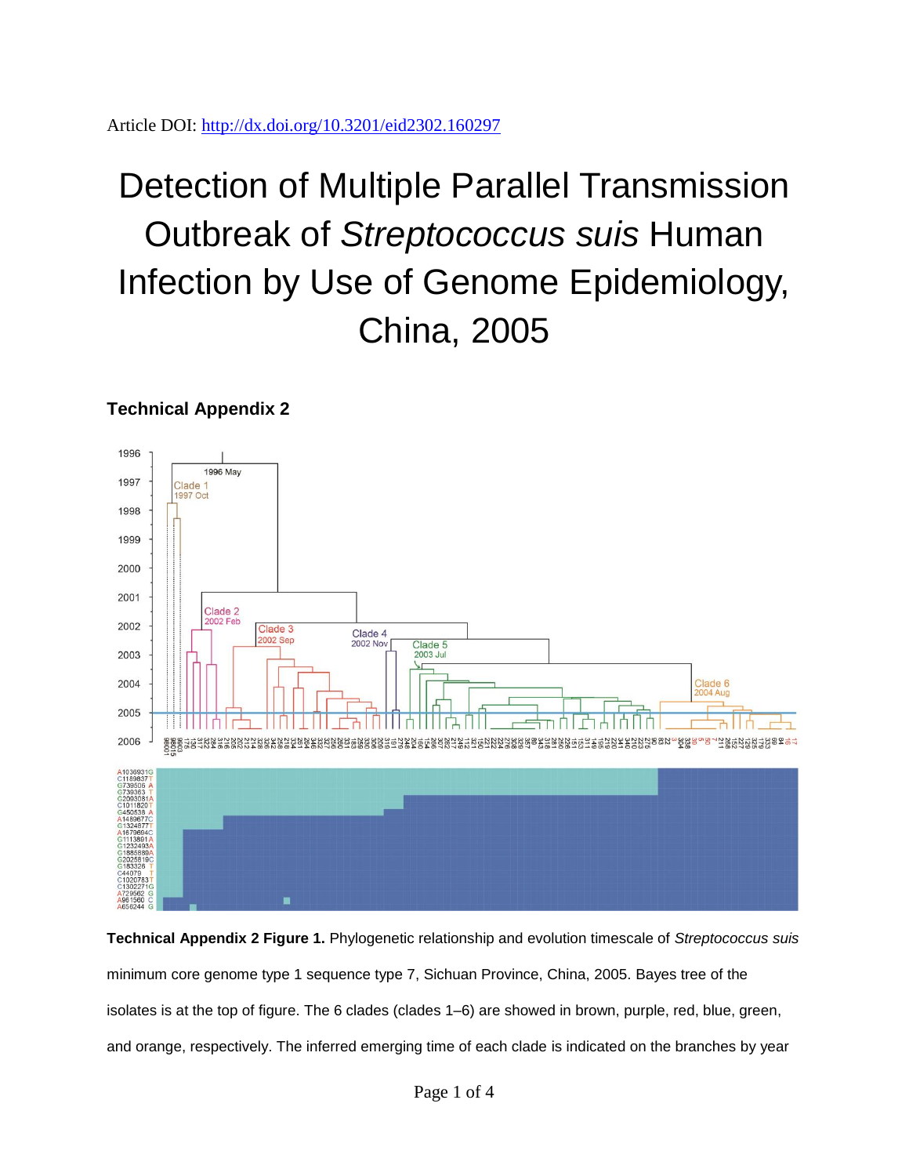Article DOI:<http://dx.doi.org/10.3201/eid2302.160297>

## Detection of Multiple Parallel Transmission Outbreak of *Streptococcus suis* Human Infection by Use of Genome Epidemiology, China, 2005

## **Technical Appendix 2**



**Technical Appendix 2 Figure 1.** Phylogenetic relationship and evolution timescale of *Streptococcus suis* minimum core genome type 1 sequence type 7, Sichuan Province, China, 2005. Bayes tree of the isolates is at the top of figure. The 6 clades (clades 1–6) are showed in brown, purple, red, blue, green, and orange, respectively. The inferred emerging time of each clade is indicated on the branches by year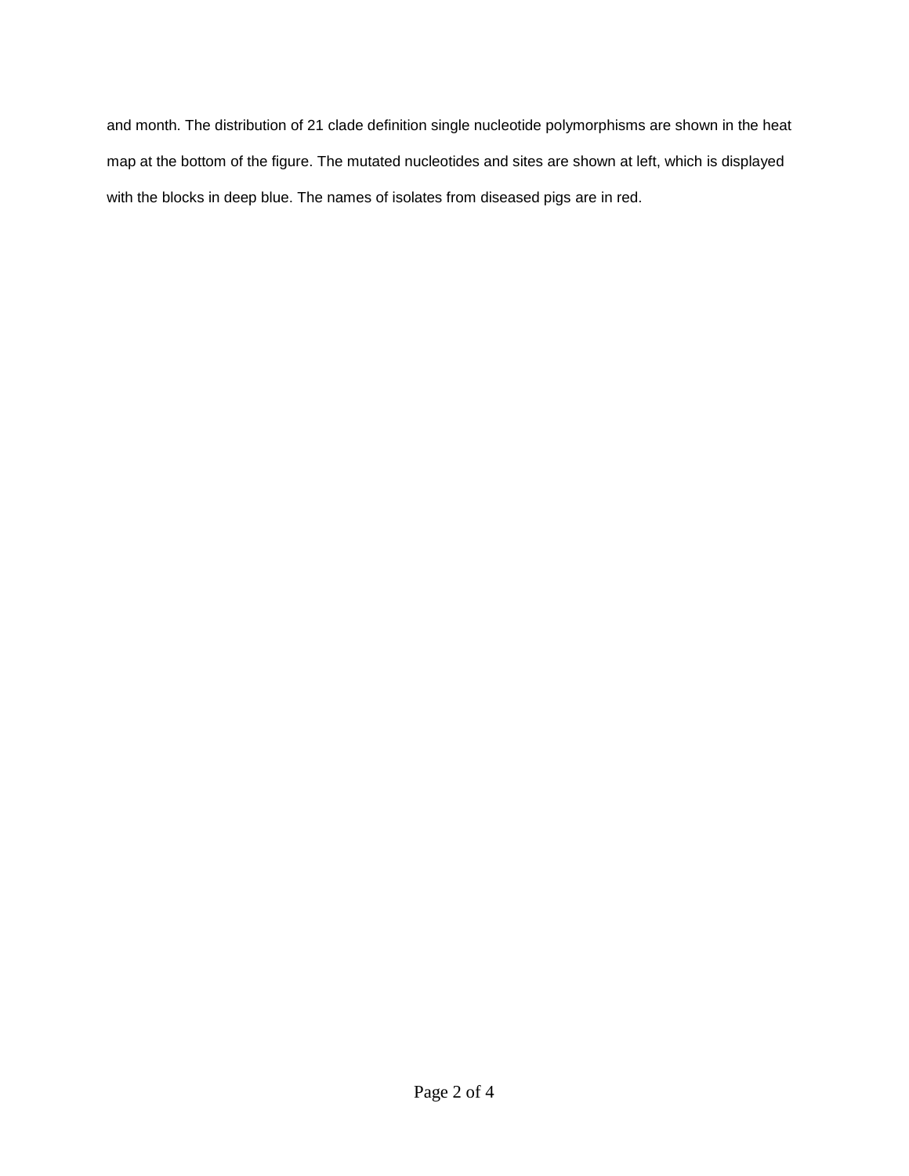and month. The distribution of 21 clade definition single nucleotide polymorphisms are shown in the heat map at the bottom of the figure. The mutated nucleotides and sites are shown at left, which is displayed with the blocks in deep blue. The names of isolates from diseased pigs are in red.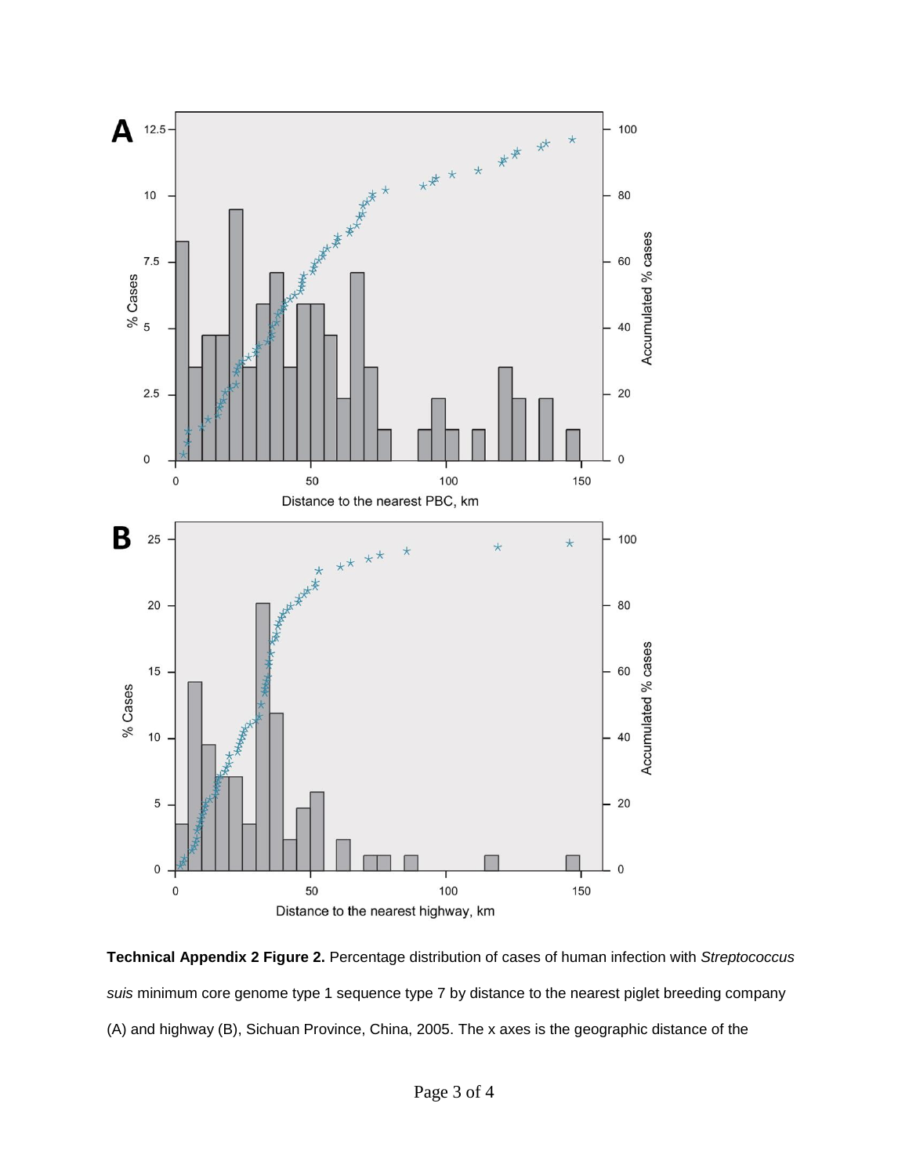

**Technical Appendix 2 Figure 2.** Percentage distribution of cases of human infection with *Streptococcus suis* minimum core genome type 1 sequence type 7 by distance to the nearest piglet breeding company (A) and highway (B), Sichuan Province, China, 2005. The x axes is the geographic distance of the